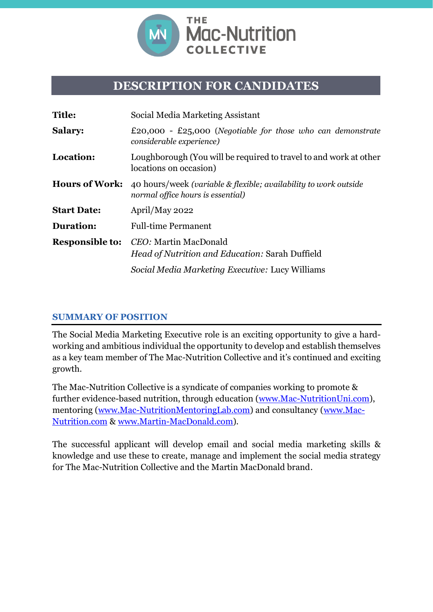

## **DESCRIPTION FOR CANDIDATES**

| <b>Title:</b>          | Social Media Marketing Assistant                                                                      |
|------------------------|-------------------------------------------------------------------------------------------------------|
| <b>Salary:</b>         | £20,000 - £25,000 (Negotiable for those who can demonstrate<br>considerable experience)               |
| Location:              | Loughborough (You will be required to travel to and work at other<br>locations on occasion)           |
| <b>Hours of Work:</b>  | 40 hours/week (variable & flexible; availability to work outside<br>normal office hours is essential) |
| <b>Start Date:</b>     | April/May 2022                                                                                        |
| <b>Duration:</b>       | <b>Full-time Permanent</b>                                                                            |
| <b>Responsible to:</b> | CEO: Martin MacDonald<br>Head of Nutrition and Education: Sarah Duffield                              |
|                        | Social Media Marketing Executive: Lucy Williams                                                       |

#### **SUMMARY OF POSITION**

The Social Media Marketing Executive role is an exciting opportunity to give a hardworking and ambitious individual the opportunity to develop and establish themselves as a key team member of The Mac-Nutrition Collective and it's continued and exciting growth.

The Mac-Nutrition Collective is a syndicate of companies working to promote & further evidence-based nutrition, through education [\(www.Mac-NutritionUni.com\)](http://www.mac-nutritionuni.com/), mentoring [\(www.Mac-NutritionMentoringLab.com\)](http://www.mac-nutritionmentoringlab.com/) and consultancy [\(www.Mac-](http://www.mac-nutrition.com/)[Nutrition.com](http://www.mac-nutrition.com/) & [www.Martin-MacDonald.com\)](http://www.martin-macdonald.com/).

The successful applicant will develop email and social media marketing skills & knowledge and use these to create, manage and implement the social media strategy for The Mac-Nutrition Collective and the Martin MacDonald brand.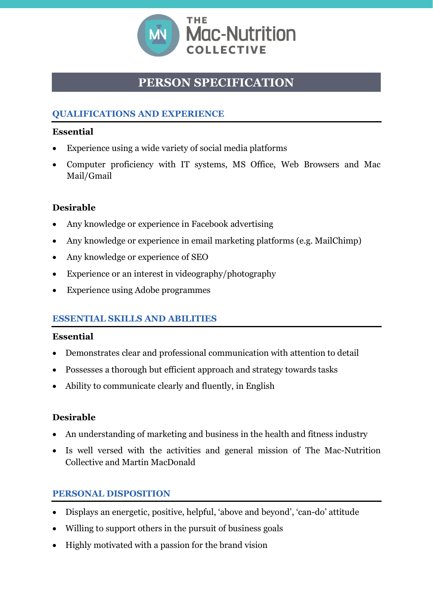

# **PERSON SPECIFICATION**

## **QUALIFICATIONS AND EXPERIENCE**

#### **Essential**

- Experience using a wide variety of social media platforms
- Computer proficiency with IT systems, MS Office, Web Browsers and Mac Mail/Gmail

### **Desirable**

- Any knowledge or experience in Facebook advertising
- Any knowledge or experience in email marketing platforms (e.g. MailChimp)
- Any knowledge or experience of SEO
- Experience or an interest in videography/photography
- **Experience using Adobe programmes**

### **ESSENTIAL SKILLS AND ABILITIES**

### **Essential**

- Demonstrates clear and professional communication with attention to detail
- Possesses a thorough but efficient approach and strategy towards tasks
- Ability to communicate clearly and fluently, in English

### **Desirable**

- An understanding of marketing and business in the health and fitness industry
- Is well versed with the activities and general mission of The Mac-Nutrition Collective and Martin MacDonald

### **PERSONAL DISPOSITION**

- Displays an energetic, positive, helpful, 'above and beyond', 'can-do' attitude
- Willing to support others in the pursuit of business goals
- Highly motivated with a passion for the brand vision